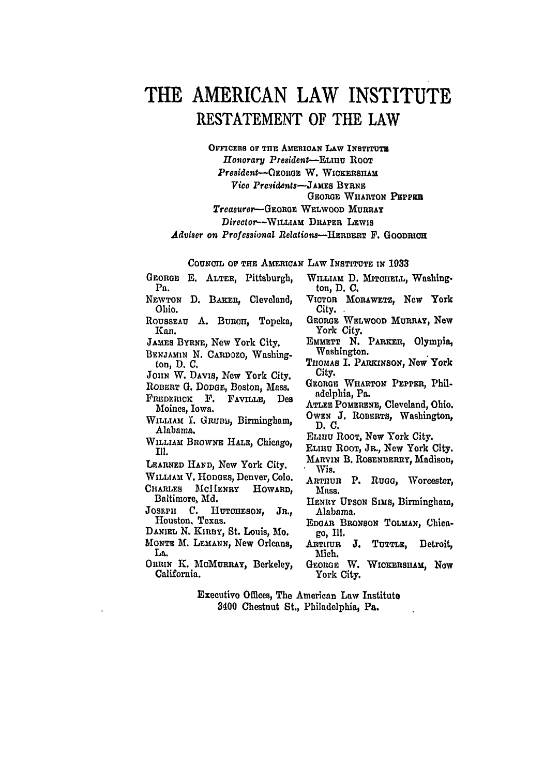## **THE AMERICAN LAW INSTITUTE RESTATEMENT OF** THE LAW

OFFICERS OF THE AMERICAN LAW INSTITUTE *lonorary President-ELIRU* ROOT *President-OtoRGoR* W. WIcKxRSHAu  $Vice$  *Presidents*-JAMES BYRNE **GEORGE** WHARTON PEPPES *Treasurer-GEORGE* WELWOOD MURRAY *Director--WILLIAM* DRAPER LEWIs *Adviser on Professional 1Relations-HERBERT* **F.** GoOnRiou

**COUNCIL OF TuHE** AMERICAN LAW **INSTITUTE** IN **1033**

- GEORGE E. ALTER, Pittsburgh, Pa. NEWTON D. BAKER, Cleveland, Ohio. ROUSSEAU A. BURCH. Topeka. Kan. JAMES BYRNE, New York City. BENJAMIN N. CARDOZO, Washington, D. **C.** JOHN W. DAVIS, New York City. ROBERT **G.** DODGE, Boston, Mass. FREDERICK F. FAVILLE. Des Moines, Iowa. WILLIAM I. GRUBB, Birmingham, Alabama. WILLIAM BIOWNE HALE, Chicago, Ill. LEARNED HAND, New York City. WILLIAM V. HODGES, Denver, **Colo.** CHARLES MoIIENRY HOWARD, Baltimore, Md. **JosLPH** C. **HUTOHESON, JR.,** Houston, Texas.
- DANIEL N. KinBY, St. Louis, **Mo. MONTE M.** LEMANN, New Orleans, **La.**
- ORRIN K. McMURRAY, Berkeley, California.
- WILLIAM D. MITCHELL. Washington, **D. C.**
- VICTOR MORAWETz, New York City.
- GEORGE WELWOOD MURRAY, New York City.
- EMMETT N. PARKER, Olympia, Washington.
- THOMAS I. PARKINSON, New York City.
- GEORGE WHARTON PEPPER. Philadelphia, Pa.
- **ATLEE** POMERENE, Cleveland, Ohio. **OwEN J.** ROBERTS, Washington, **D.C.**
- ELIIIu ROOT, New York City.
- **ELIHU** ROOT, JR., New York City.
- MARVIN B. ROSENBERRY, Madison, Wis.
- ARTHUR P. Rugg, Worcester, Mass.
- **HENRY UPSON** Sims, Birmingham, Alabama.
- **EDOAR** BRONSON TOLMAN, Chicago, Ill.
- ARTHUR **J. TUTTLE,** Detroit, Mich.
- GEORGE W. WICKERSHAM, NOW York City.

Executive Offices, The American Law Institute 8400 Chestnut St., Philadelphia, Pa.